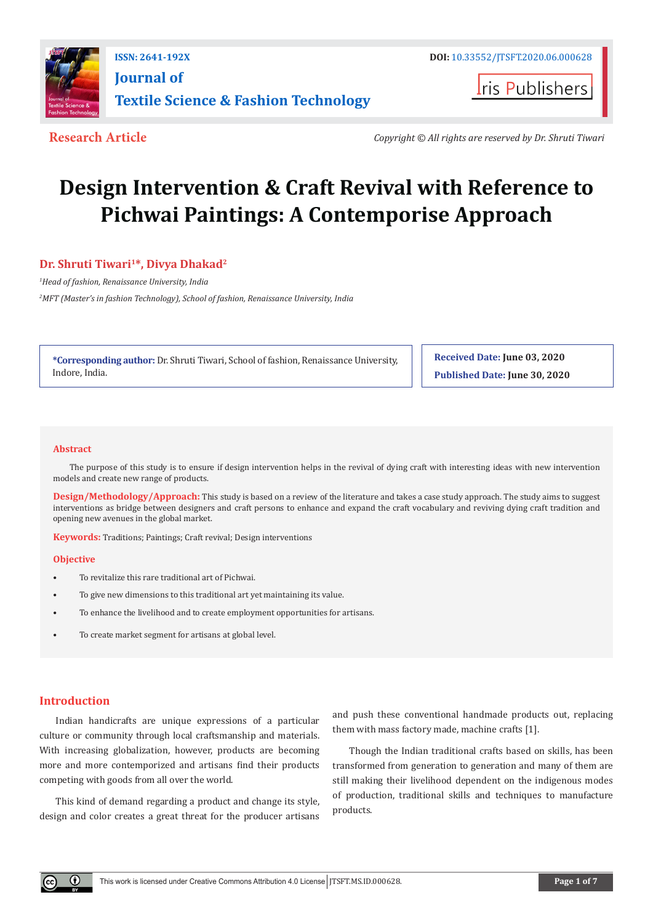

## **ISSN: 2641-192X DOI:** [10.33552/JTSFT.2020.06.000628](http://dx.doi.org/10.33552/JTSFT.2020.06.000628) **[Journal of](https://irispublishers.com/jtsft/)  [Textile Science & Fashion Technology](https://irispublishers.com/jtsft/)**

**I**ris Publishers

**Research Article** *Copyright © All rights are reserved by Dr. Shruti Tiwari*

# **Design Intervention & Craft Revival with Reference to Pichwai Paintings: A Contemporise Approach**

### **Dr. Shruti Tiwari<sup>1\*</sup>, Divya Dhakad<sup>2</sup>**

*1 Head of fashion, Renaissance University, India 2 MFT (Master's in fashion Technology), School of fashion, Renaissance University, India* 

**\*Corresponding author:** Dr. Shruti Tiwari, School of fashion, Renaissance University, Indore, India.

**Received Date: June 03, 2020 Published Date: June 30, 2020**

#### **Abstract**

The purpose of this study is to ensure if design intervention helps in the revival of dying craft with interesting ideas with new intervention models and create new range of products.

**Design/Methodology/Approach:** This study is based on a review of the literature and takes a case study approach. The study aims to suggest interventions as bridge between designers and craft persons to enhance and expand the craft vocabulary and reviving dying craft tradition and opening new avenues in the global market.

**Keywords:** Traditions; Paintings; Craft revival; Design interventions

#### **Objective**

- To revitalize this rare traditional art of Pichwai.
- To give new dimensions to this traditional art yet maintaining its value.
- To enhance the livelihood and to create employment opportunities for artisans.
- To create market segment for artisans at global level.

#### **Introduction**

Indian handicrafts are unique expressions of a particular culture or community through local craftsmanship and materials. With increasing globalization, however, products are becoming more and more contemporized and artisans find their products competing with goods from all over the world.

This kind of demand regarding a product and change its style, design and color creates a great threat for the producer artisans and push these conventional handmade products out, replacing them with mass factory made, machine crafts [1].

Though the Indian traditional crafts based on skills, has been transformed from generation to generation and many of them are still making their livelihood dependent on the indigenous modes of production, traditional skills and techniques to manufacture products.

 $\left( \cdot \right)$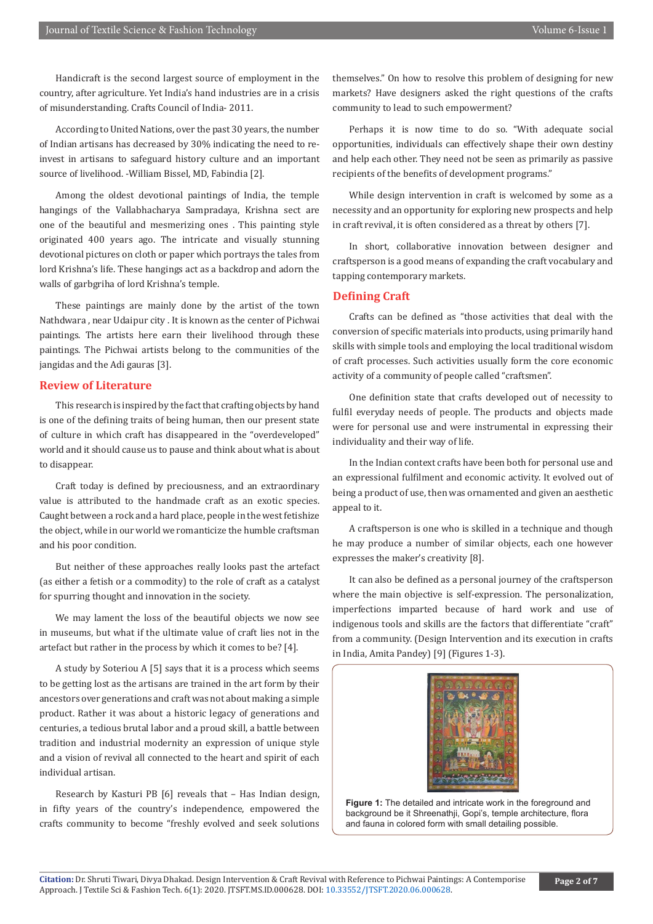Handicraft is the second largest source of employment in the country, after agriculture. Yet India's hand industries are in a crisis of misunderstanding. Crafts Council of India- 2011.

According to United Nations, over the past 30 years, the number of Indian artisans has decreased by 30% indicating the need to reinvest in artisans to safeguard history culture and an important source of livelihood. -William Bissel, MD, Fabindia [2].

Among the oldest devotional paintings of India, the temple hangings of the Vallabhacharya Sampradaya, Krishna sect are one of the beautiful and mesmerizing ones . This painting style originated 400 years ago. The intricate and visually stunning devotional pictures on cloth or paper which portrays the tales from lord Krishna's life. These hangings act as a backdrop and adorn the walls of garbgriha of lord Krishna's temple.

These paintings are mainly done by the artist of the town Nathdwara , near Udaipur city . It is known as the center of Pichwai paintings. The artists here earn their livelihood through these paintings. The Pichwai artists belong to the communities of the jangidas and the Adi gauras [3].

#### **Review of Literature**

This research is inspired by the fact that crafting objects by hand is one of the defining traits of being human, then our present state of culture in which craft has disappeared in the "overdeveloped" world and it should cause us to pause and think about what is about to disappear.

Craft today is defined by preciousness, and an extraordinary value is attributed to the handmade craft as an exotic species. Caught between a rock and a hard place, people in the west fetishize the object, while in our world we romanticize the humble craftsman and his poor condition.

But neither of these approaches really looks past the artefact (as either a fetish or a commodity) to the role of craft as a catalyst for spurring thought and innovation in the society.

We may lament the loss of the beautiful objects we now see in museums, but what if the ultimate value of craft lies not in the artefact but rather in the process by which it comes to be? [4].

A study by Soteriou A [5] says that it is a process which seems to be getting lost as the artisans are trained in the art form by their ancestors over generations and craft was not about making a simple product. Rather it was about a historic legacy of generations and centuries, a tedious brutal labor and a proud skill, a battle between tradition and industrial modernity an expression of unique style and a vision of revival all connected to the heart and spirit of each individual artisan.

Research by Kasturi PB [6] reveals that – Has Indian design, in fifty years of the country's independence, empowered the crafts community to become "freshly evolved and seek solutions

themselves." On how to resolve this problem of designing for new markets? Have designers asked the right questions of the crafts community to lead to such empowerment?

Perhaps it is now time to do so. "With adequate social opportunities, individuals can effectively shape their own destiny and help each other. They need not be seen as primarily as passive recipients of the benefits of development programs."

While design intervention in craft is welcomed by some as a necessity and an opportunity for exploring new prospects and help in craft revival, it is often considered as a threat by others [7].

In short, collaborative innovation between designer and craftsperson is a good means of expanding the craft vocabulary and tapping contemporary markets.

#### **Defining Craft**

Crafts can be defined as "those activities that deal with the conversion of specific materials into products, using primarily hand skills with simple tools and employing the local traditional wisdom of craft processes. Such activities usually form the core economic activity of a community of people called "craftsmen".

One definition state that crafts developed out of necessity to fulfil everyday needs of people. The products and objects made were for personal use and were instrumental in expressing their individuality and their way of life.

In the Indian context crafts have been both for personal use and an expressional fulfilment and economic activity. It evolved out of being a product of use, then was ornamented and given an aesthetic appeal to it.

A craftsperson is one who is skilled in a technique and though he may produce a number of similar objects, each one however expresses the maker's creativity [8].

It can also be defined as a personal journey of the craftsperson where the main objective is self-expression. The personalization, imperfections imparted because of hard work and use of indigenous tools and skills are the factors that differentiate "craft" from a community. (Design Intervention and its execution in crafts in India, Amita Pandey) [9] (Figures 1-3).



**Figure 1:** The detailed and intricate work in the foreground and background be it Shreenathii, Gopi's, temple architecture, flora and fauna in colored form with small detailing possible.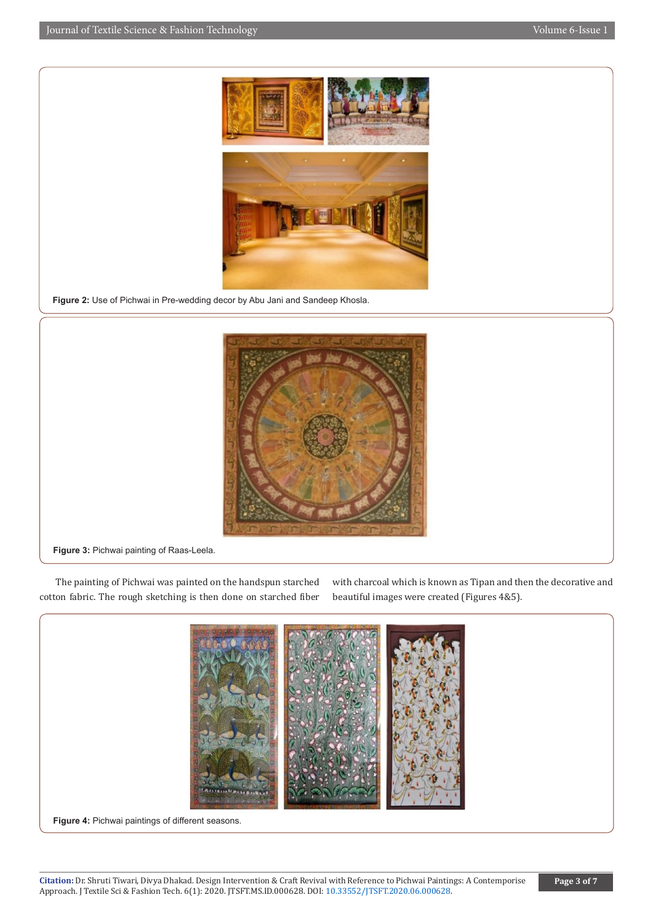

**Figure 2:** Use of Pichwai in Pre-wedding decor by Abu Jani and Sandeep Khosla.



**Figure 3:** Pichwai painting of Raas-Leela.

The painting of Pichwai was painted on the handspun starched cotton fabric. The rough sketching is then done on starched fiber with charcoal which is known as Tipan and then the decorative and beautiful images were created (Figures 4&5).



**Figure 4:** Pichwai paintings of different seasons.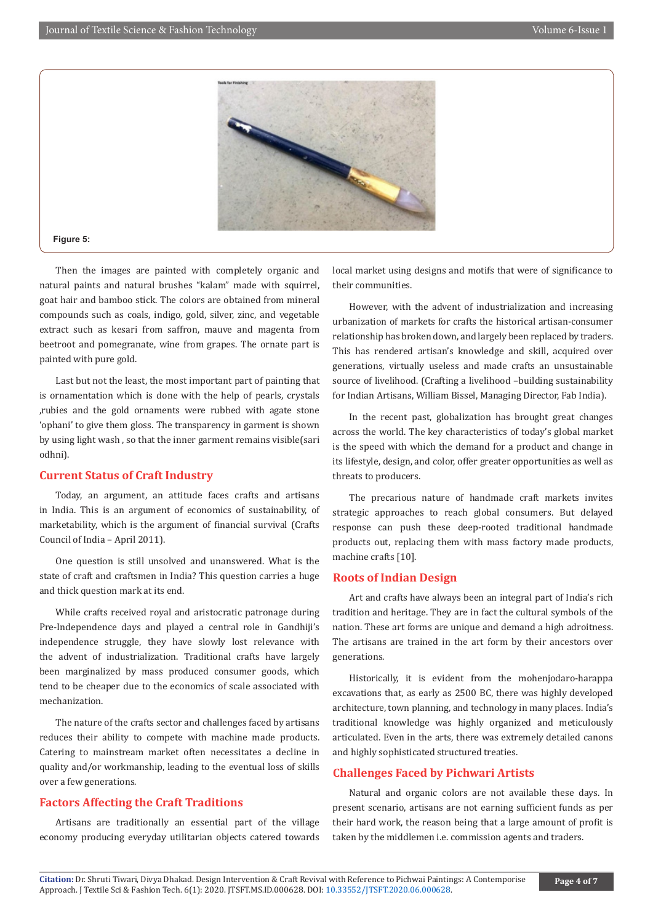

#### **Figure 5:**

Then the images are painted with completely organic and natural paints and natural brushes "kalam" made with squirrel, goat hair and bamboo stick. The colors are obtained from mineral compounds such as coals, indigo, gold, silver, zinc, and vegetable extract such as kesari from saffron, mauve and magenta from beetroot and pomegranate, wine from grapes. The ornate part is painted with pure gold.

Last but not the least, the most important part of painting that is ornamentation which is done with the help of pearls, crystals ,rubies and the gold ornaments were rubbed with agate stone 'ophani' to give them gloss. The transparency in garment is shown by using light wash , so that the inner garment remains visible(sari odhni).

#### **Current Status of Craft Industry**

Today, an argument, an attitude faces crafts and artisans in India. This is an argument of economics of sustainability, of marketability, which is the argument of financial survival (Crafts Council of India – April 2011).

One question is still unsolved and unanswered. What is the state of craft and craftsmen in India? This question carries a huge and thick question mark at its end.

While crafts received royal and aristocratic patronage during Pre-Independence days and played a central role in Gandhiji's independence struggle, they have slowly lost relevance with the advent of industrialization. Traditional crafts have largely been marginalized by mass produced consumer goods, which tend to be cheaper due to the economics of scale associated with mechanization.

The nature of the crafts sector and challenges faced by artisans reduces their ability to compete with machine made products. Catering to mainstream market often necessitates a decline in quality and/or workmanship, leading to the eventual loss of skills over a few generations.

#### **Factors Affecting the Craft Traditions**

Artisans are traditionally an essential part of the village economy producing everyday utilitarian objects catered towards local market using designs and motifs that were of significance to their communities.

However, with the advent of industrialization and increasing urbanization of markets for crafts the historical artisan-consumer relationship has broken down, and largely been replaced by traders. This has rendered artisan's knowledge and skill, acquired over generations, virtually useless and made crafts an unsustainable source of livelihood. (Crafting a livelihood –building sustainability for Indian Artisans, William Bissel, Managing Director, Fab India).

In the recent past, globalization has brought great changes across the world. The key characteristics of today's global market is the speed with which the demand for a product and change in its lifestyle, design, and color, offer greater opportunities as well as threats to producers.

The precarious nature of handmade craft markets invites strategic approaches to reach global consumers. But delayed response can push these deep-rooted traditional handmade products out, replacing them with mass factory made products, machine crafts [10].

#### **Roots of Indian Design**

Art and crafts have always been an integral part of India's rich tradition and heritage. They are in fact the cultural symbols of the nation. These art forms are unique and demand a high adroitness. The artisans are trained in the art form by their ancestors over generations.

Historically, it is evident from the mohenjodaro-harappa excavations that, as early as 2500 BC, there was highly developed architecture, town planning, and technology in many places. India's traditional knowledge was highly organized and meticulously articulated. Even in the arts, there was extremely detailed canons and highly sophisticated structured treaties.

#### **Challenges Faced by Pichwari Artists**

Natural and organic colors are not available these days. In present scenario, artisans are not earning sufficient funds as per their hard work, the reason being that a large amount of profit is taken by the middlemen i.e. commission agents and traders.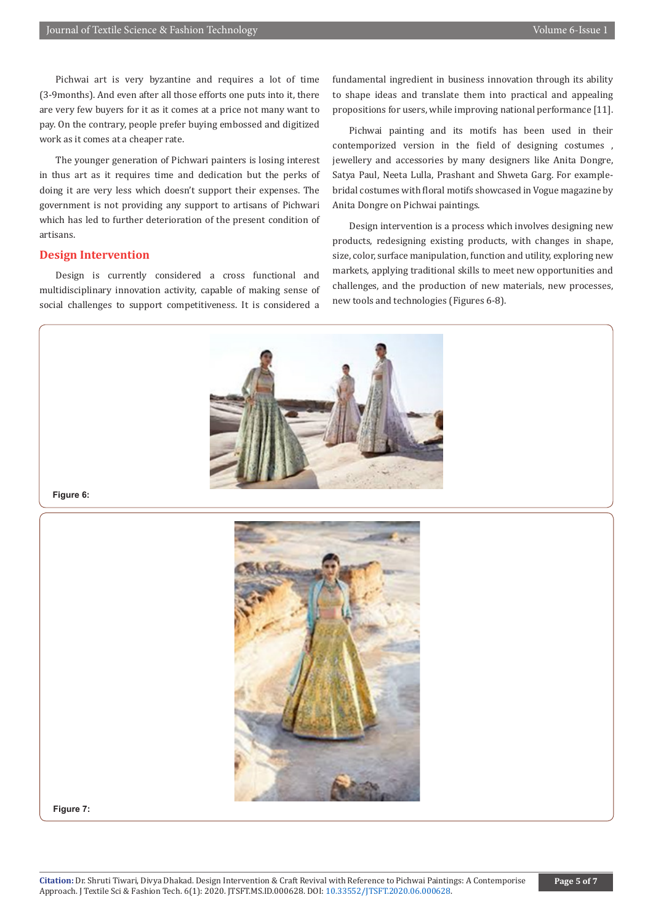Pichwai art is very byzantine and requires a lot of time (3-9months). And even after all those efforts one puts into it, there are very few buyers for it as it comes at a price not many want to pay. On the contrary, people prefer buying embossed and digitized work as it comes at a cheaper rate.

The younger generation of Pichwari painters is losing interest in thus art as it requires time and dedication but the perks of doing it are very less which doesn't support their expenses. The government is not providing any support to artisans of Pichwari which has led to further deterioration of the present condition of artisans.

#### **Design Intervention**

Design is currently considered a cross functional and multidisciplinary innovation activity, capable of making sense of social challenges to support competitiveness. It is considered a

fundamental ingredient in business innovation through its ability to shape ideas and translate them into practical and appealing propositions for users, while improving national performance [11].

Pichwai painting and its motifs has been used in their contemporized version in the field of designing costumes , jewellery and accessories by many designers like Anita Dongre, Satya Paul, Neeta Lulla, Prashant and Shweta Garg. For examplebridal costumes with floral motifs showcased in Vogue magazine by Anita Dongre on Pichwai paintings.

Design intervention is a process which involves designing new products, redesigning existing products, with changes in shape, size, color, surface manipulation, function and utility, exploring new markets, applying traditional skills to meet new opportunities and challenges, and the production of new materials, new processes, new tools and technologies (Figures 6-8).



**Figure 6:**



**Figure 7:**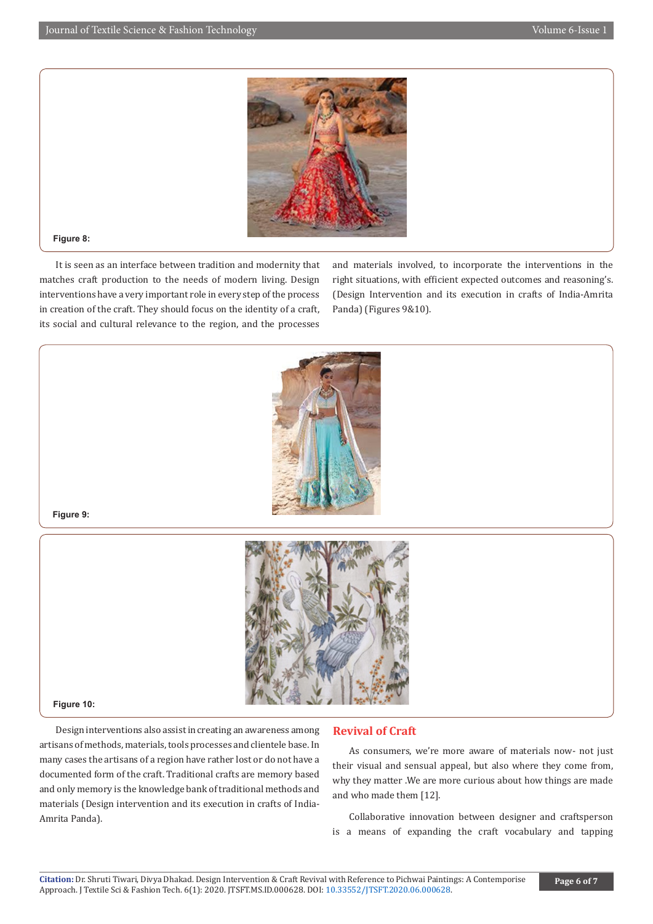

#### **Figure 8:**

It is seen as an interface between tradition and modernity that matches craft production to the needs of modern living. Design interventions have a very important role in every step of the process in creation of the craft. They should focus on the identity of a craft, its social and cultural relevance to the region, and the processes

and materials involved, to incorporate the interventions in the right situations, with efficient expected outcomes and reasoning's. (Design Intervention and its execution in crafts of India-Amrita Panda) (Figures 9&10).



#### **Figure 9:**



#### **Figure 10:**

Design interventions also assist in creating an awareness among artisans of methods, materials, tools processes and clientele base. In many cases the artisans of a region have rather lost or do not have a documented form of the craft. Traditional crafts are memory based and only memory is the knowledge bank of traditional methods and materials (Design intervention and its execution in crafts of India-Amrita Panda).

#### **Revival of Craft**

As consumers, we're more aware of materials now- not just their visual and sensual appeal, but also where they come from, why they matter .We are more curious about how things are made and who made them [12].

Collaborative innovation between designer and craftsperson is a means of expanding the craft vocabulary and tapping